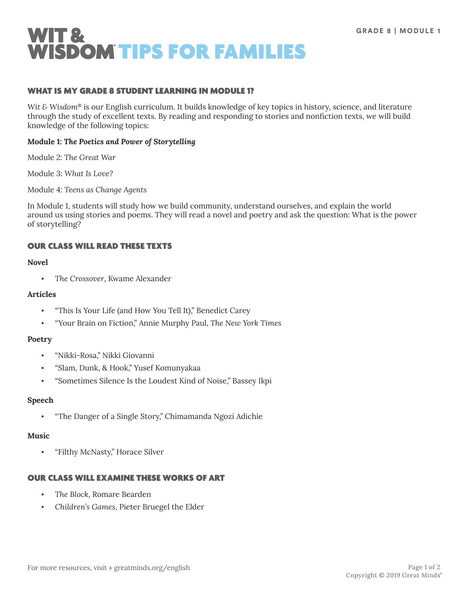

## WHAT IS MY GRADE 8 STUDENT LEARNING IN MODULE 1?

*Wit & Wisdom*® is our English curriculum. It builds knowledge of key topics in history, science, and literature through the study of excellent texts. By reading and responding to stories and nonfiction texts, we will build knowledge of the following topics:

#### **Module 1:** *The Poetics and Power of Storytelling*

Module 2: *The Great War*

Module 3: *What Is Love?*

Module 4: *Teens as Change Agents*

In Module 1, students will study how we build community, understand ourselves, and explain the world around us using stories and poems. They will read a novel and poetry and ask the question: What is the power of storytelling?

## OUR CLASS WILL READ THESE TEXTS

#### **Novel**

▪ *The Crossover*, Kwame Alexander

#### **Articles**

- "This Is Your Life (and How You Tell It)," Benedict Carey
- "Your Brain on Fiction," Annie Murphy Paul, *The New York Times*

#### **Poetry**

- "Nikki-Rosa," Nikki Giovanni
- "Slam, Dunk, & Hook," Yusef Komunyakaa
- "Sometimes Silence Is the Loudest Kind of Noise," Bassey Ikpi

#### **Speech**

"The Danger of a Single Story," Chimamanda Ngozi Adichie

#### **Music**

"Filthy McNasty," Horace Silver

## OUR CLASS WILL EXAMINE THESE WORKS OF ART

- The Block, Romare Bearden
- *Children's Games*, Pieter Bruegel the Elder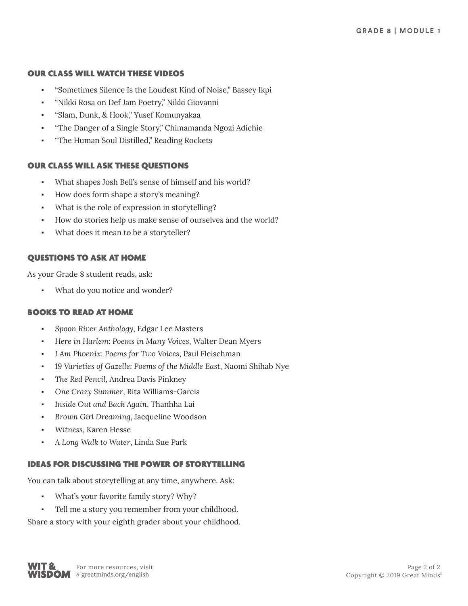#### OUR CLASS WILL WATCH THESE VIDEOS

- "Sometimes Silence Is the Loudest Kind of Noise," Bassey Ikpi
- "Nikki Rosa on Def Jam Poetry," Nikki Giovanni
- "Slam, Dunk, & Hook," Yusef Komunyakaa
- "The Danger of a Single Story," Chimamanda Ngozi Adichie
- "The Human Soul Distilled," Reading Rockets

#### OUR CLASS WILL ASK THESE QUESTIONS

- What shapes Josh Bell's sense of himself and his world?
- How does form shape a story's meaning?
- What is the role of expression in storytelling?
- How do stories help us make sense of ourselves and the world?
- What does it mean to be a storyteller?

## QUESTIONS TO ASK AT HOME

As your Grade 8 student reads, ask:

What do you notice and wonder?

#### BOOKS TO READ AT HOME

- *Spoon River Anthology*, Edgar Lee Masters
- *Here in Harlem: Poems in Many Voices*, Walter Dean Myers
- *I Am Phoenix: Poems for Two Voices*, Paul Fleischman
- *19 Varieties of Gazelle: Poems of the Middle East*, Naomi Shihab Nye
- The Red Pencil, Andrea Davis Pinkney
- *One Crazy Summer*, Rita Williams-Garcia
- *Inside Out and Back Again*, Thanhha Lai
- *Brown Girl Dreaming*, Jacqueline Woodson
- *Witness*, Karen Hesse
- *A Long Walk to Water*, Linda Sue Park

## IDEAS FOR DISCUSSING THE POWER OF STORYTELLING

You can talk about storytelling at any time, anywhere. Ask:

- What's your favorite family story? Why?
- Tell me a story you remember from your childhood.

Share a story with your eighth grader about your childhood.

**WIT &** For more resources, visit<br>**WISDOM** » greatminds.org/english WIT 8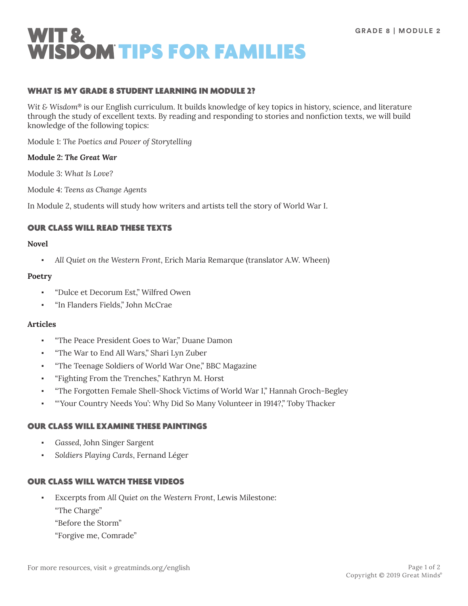

## WHAT IS MY GRADE 8 STUDENT LEARNING IN MODULE 2?

*Wit & Wisdom*® is our English curriculum. It builds knowledge of key topics in history, science, and literature through the study of excellent texts. By reading and responding to stories and nonfiction texts, we will build knowledge of the following topics:

Module 1: *The Poetics and Power of Storytelling*

#### **Module 2:** *The Great War*

Module 3: *What Is Love?*

Module 4: *Teens as Change Agents*

In Module 2, students will study how writers and artists tell the story of World War I.

## OUR CLASS WILL READ THESE TEXTS

#### **Novel**

All Quiet on the Western Front, Erich Maria Remarque (translator A.W. Wheen)

#### **Poetry**

- "Dulce et Decorum Est," Wilfred Owen
- "In Flanders Fields," John McCrae

## **Articles**

- "The Peace President Goes to War," Duane Damon
- "The War to End All Wars," Shari Lyn Zuber
- "The Teenage Soldiers of World War One," BBC Magazine
- "Fighting From the Trenches," Kathryn M. Horst
- "The Forgotten Female Shell-Shock Victims of World War I," Hannah Groch-Begley
- "Your Country Needs You': Why Did So Many Volunteer in 1914?," Toby Thacker

## OUR CLASS WILL EXAMINE THESE PAINTINGS

- Gassed, John Singer Sargent
- *Soldiers Playing Cards*, Fernand Léger

## OUR CLASS WILL WATCH THESE VIDEOS

- Excerpts from *All Quiet on the Western Front*, Lewis Milestone:
	- "The Charge"
	- "Before the Storm"
	- "Forgive me, Comrade"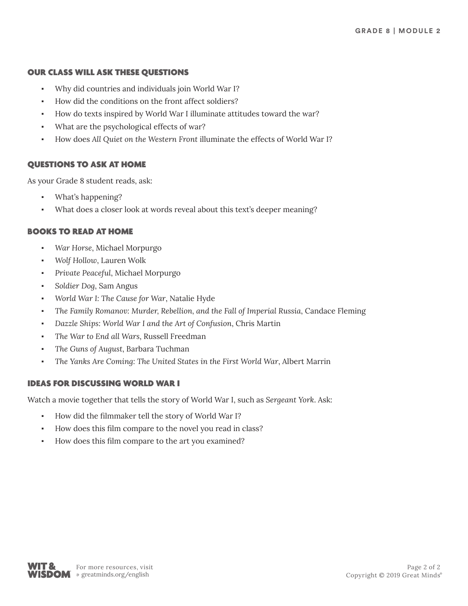#### OUR CLASS WILL ASK THESE QUESTIONS

- Why did countries and individuals join World War I?
- How did the conditions on the front affect soldiers?
- How do texts inspired by World War I illuminate attitudes toward the war?
- What are the psychological effects of war?
- How does *All Quiet on the Western Front* illuminate the effects of World War I?

# QUESTIONS TO ASK AT HOME

As your Grade 8 student reads, ask:

- What's happening?
- What does a closer look at words reveal about this text's deeper meaning?

# BOOKS TO READ AT HOME

- *War Horse*, Michael Morpurgo
- *Wolf Hollow*, Lauren Wolk
- *Private Peaceful*, Michael Morpurgo
- *Soldier Dog*, Sam Angus
- World War I: The Cause for War, Natalie Hyde
- *The Family Romanov: Murder, Rebellion, and the Fall of Imperial Russia*, Candace Fleming
- *Dazzle Ships: World War I and the Art of Confusion*, Chris Martin
- The War to End all Wars, Russell Freedman
- *The Guns of August*, Barbara Tuchman
- The Yanks Are Coming: The United States in the First World War, Albert Marrin

# IDEAS FOR DISCUSSING WORLD WAR I

Watch a movie together that tells the story of World War I, such as *Sergeant York*. Ask:

- How did the filmmaker tell the story of World War I?
- How does this film compare to the novel you read in class?
- How does this film compare to the art you examined?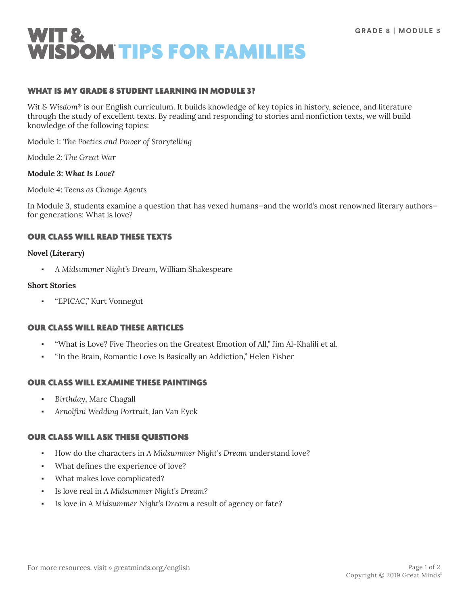

## WHAT IS MY GRADE 8 STUDENT LEARNING IN MODULE 3?

*Wit & Wisdom*® is our English curriculum. It builds knowledge of key topics in history, science, and literature through the study of excellent texts. By reading and responding to stories and nonfiction texts, we will build knowledge of the following topics:

Module 1: *The Poetics and Power of Storytelling*

Module 2: *The Great War*

# **Module 3:** *What Is Love?*

Module 4: *Teens as Change Agents*

In Module 3, students examine a question that has vexed humans—and the world's most renowned literary authors for generations: What is love?

# OUR CLASS WILL READ THESE TEXTS

#### **Novel (Literary)**

▪ *A Midsummer Night's Dream*, William Shakespeare

#### **Short Stories**

"EPICAC," Kurt Vonnegut

## OUR CLASS WILL READ THESE ARTICLES

- "What is Love? Five Theories on the Greatest Emotion of All," Jim Al-Khalili et al.
- "In the Brain, Romantic Love Is Basically an Addiction," Helen Fisher

# OUR CLASS WILL EXAMINE THESE PAINTINGS

- Birthday, Marc Chagall
- *Arnolfini Wedding Portrait*, Jan Van Eyck

## OUR CLASS WILL ASK THESE QUESTIONS

- How do the characters in *A Midsummer Night's Dream* understand love?
- What defines the experience of love?
- What makes love complicated?
- Is love real in A Midsummer Night's Dream?
- Is love in A Midsummer Night's Dream a result of agency or fate?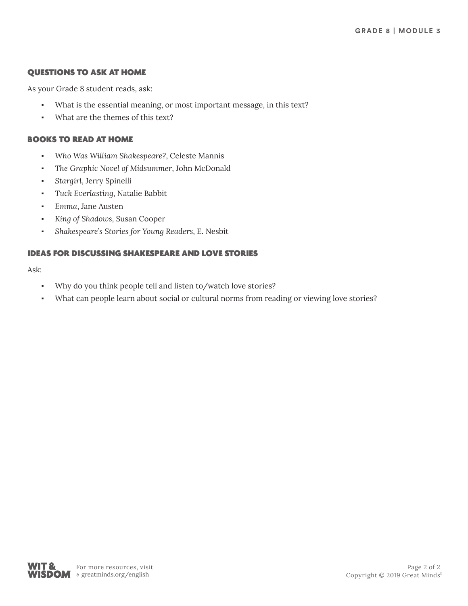# QUESTIONS TO ASK AT HOME

As your Grade 8 student reads, ask:

- What is the essential meaning, or most important message, in this text?
- What are the themes of this text?

# BOOKS TO READ AT HOME

- *Who Was William Shakespeare?*, Celeste Mannis
- The Graphic Novel of Midsummer, John McDonald
- *Stargirl*, Jerry Spinelli
- *Tuck Everlasting*, Natalie Babbit
- *Emma*, Jane Austen
- *King of Shadows*, Susan Cooper
- *Shakespeare's Stories for Young Readers*, E. Nesbit

# IDEAS FOR DISCUSSING SHAKESPEARE AND LOVE STORIES

Ask:

- Why do you think people tell and listen to/watch love stories?
- What can people learn about social or cultural norms from reading or viewing love stories?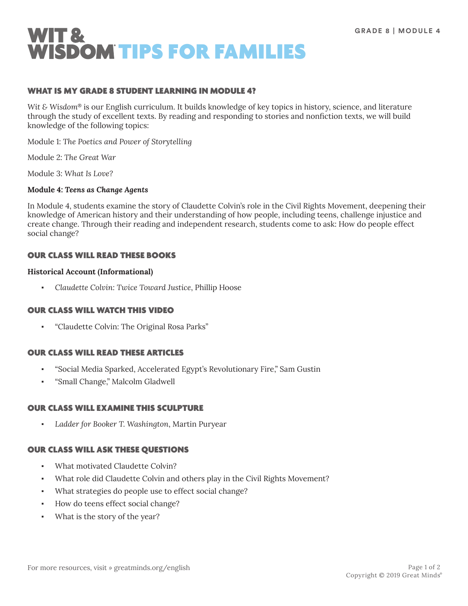

## WHAT IS MY GRADE 8 STUDENT LEARNING IN MODULE 4?

*Wit & Wisdom*® is our English curriculum. It builds knowledge of key topics in history, science, and literature through the study of excellent texts. By reading and responding to stories and nonfiction texts, we will build knowledge of the following topics:

Module 1: *The Poetics and Power of Storytelling*

Module 2: *The Great War*

Module 3: *What Is Love?*

## **Module 4:** *Teens as Change Agents*

In Module 4, students examine the story of Claudette Colvin's role in the Civil Rights Movement, deepening their knowledge of American history and their understanding of how people, including teens, challenge injustice and create change. Through their reading and independent research, students come to ask: How do people effect social change?

## OUR CLASS WILL READ THESE BOOKS

#### **Historical Account (Informational)**

▪ *Claudette Colvin: Twice Toward Justice*, Phillip Hoose

## OUR CLASS WILL WATCH THIS VIDEO

▪ "Claudette Colvin: The Original Rosa Parks"

## OUR CLASS WILL READ THESE ARTICLES

- "Social Media Sparked, Accelerated Egypt's Revolutionary Fire," Sam Gustin
- "Small Change," Malcolm Gladwell

## OUR CLASS WILL EXAMINE THIS SCULPTURE

Ladder for Booker T. Washington, Martin Puryear

## OUR CLASS WILL ASK THESE QUESTIONS

- What motivated Claudette Colvin?
- What role did Claudette Colvin and others play in the Civil Rights Movement?
- What strategies do people use to effect social change?
- How do teens effect social change?
- What is the story of the year?